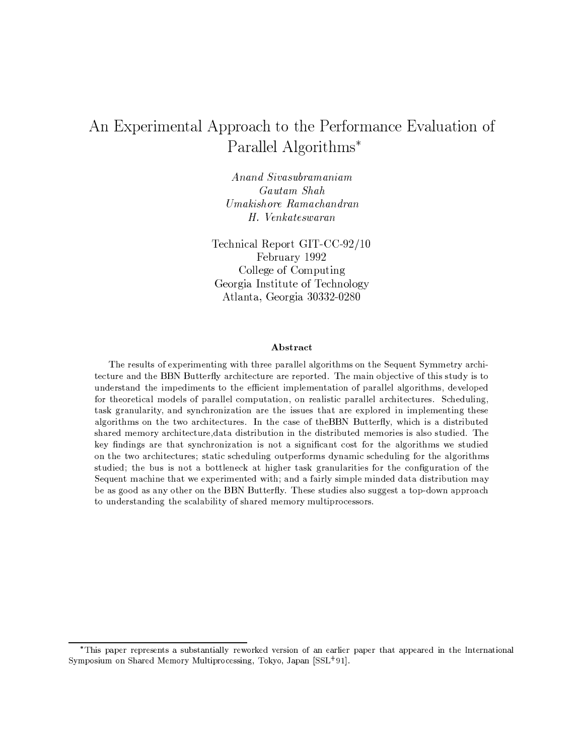# An Experimental Approach to the Performance Evaluation of Parallel Algorithms\*

Anand Sivasubramaniam Gautam Shah Umakishore Ramachandran H. Venkateswaran

Technical Report GIT-CC-92/10 February 1992 College of Computing Georgia Institute of Technology Atlanta, Georgia 30332-0280

## Abstract

The results of experimenting with three parallel algorithms on the Sequent Symmetry architecture and the BBN Butterfly architecture are reported. The main objective of this study is to understand the impediments to the efficient implementation of parallel algorithms, developed for theoretical models of parallel computation, on realistic parallel architectures. Scheduling, task granularity, and synchronization are the issues that are explored in implementing these algorithms on the two architectures. In the case of the BBN Butterfly, which is a distributed shared memory architecture, data distribution in the distributed memories is also studied. The key findings are that synchronization is not a significant cost for the algorithms we studied on the two architectures; static scheduling outperforms dynamic scheduling for the algorithms studied; the bus is not a bottleneck at higher task granularities for the configuration of the Sequent machine that we experimented with; and a fairly simple minded data distribution may be as good as any other on the BBN Butterfly. These studies also suggest a top-down approach to understanding the scalability of shared memory multiprocessors.

<sup>\*</sup>This paper represents a substantially reworked version of an earlier paper that appeared in the International Symposium on Shared Memory Multiprocessing, Tokyo, Japan [SSL<sup>+91]</sup>.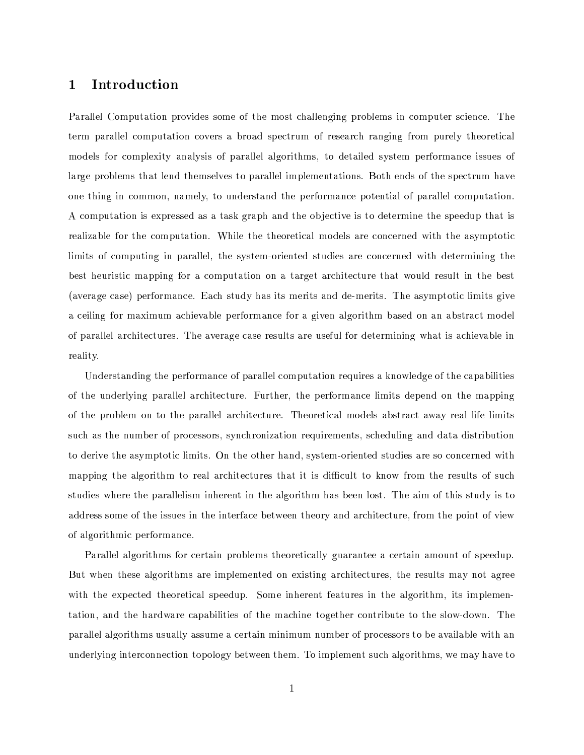## $\mathbf 1$ Introduction

Parallel Computation provides some of the most challenging problems in computer science. The term parallel computation covers a broad spectrum of research ranging from purely theoretical models for complexity analysis of parallel algorithms, to detailed system performance issues of large problems that lend themselves to parallel implementations. Both ends of the spectrum have one thing in common, namely, to understand the performance potential of parallel computation. A computation is expressed as a task graph and the objective is to determine the speedup that is realizable for the computation. While the theoretical models are concerned with the asymptotic limits of computing in parallel, the system-oriented studies are concerned with determining the best heuristic mapping for a computation on a target architecture that would result in the best (average case) performance. Each study has its merits and de-merits. The asymptotic limits give a ceiling for maximum achievable performance for a given algorithm based on an abstract model of parallel architectures. The average case results are useful for determining what is achievable in reality.

Understanding the performance of parallel computation requires a knowledge of the capabilities of the underlying parallel architecture. Further, the performance limits depend on the mapping of the problem on to the parallel architecture. Theoretical models abstract away real life limits such as the number of processors, synchronization requirements, scheduling and data distribution to derive the asymptotic limits. On the other hand, system-oriented studies are so concerned with mapping the algorithm to real architectures that it is difficult to know from the results of such studies where the parallelism inherent in the algorithm has been lost. The aim of this study is to address some of the issues in the interface between theory and architecture, from the point of view of algorithmic performance.

Parallel algorithms for certain problems theoretically guarantee a certain amount of speedup. But when these algorithms are implemented on existing architectures, the results may not agree with the expected theoretical speedup. Some inherent features in the algorithm, its implementation, and the hardware capabilities of the machine together contribute to the slow-down. The parallel algorithms usually assume a certain minimum number of processors to be available with an underlying interconnection topology between them. To implement such algorithms, we may have to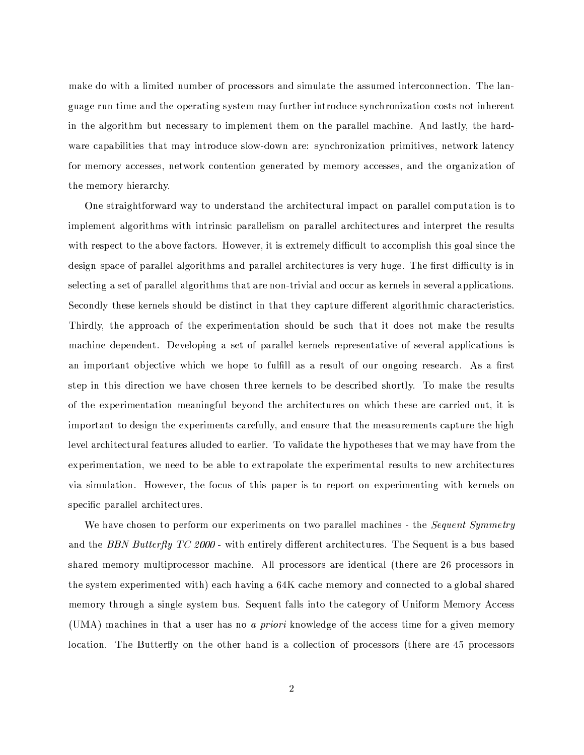make do with a limited number of processors and simulate the assumed interconnection. The language run time and the operating system may further introduce synchronization costs not inherent in the algorithm but necessary to implement them on the parallel machine. And lastly, the hardware capabilities that may introduce slow-down are: synchronization primitives, network latency for memory accesses, network contention generated by memory accesses, and the organization of the memory hierarchy.

One straightforward way to understand the architectural impact on parallel computation is to implement algorithms with intrinsic parallelism on parallel architectures and interpret the results with respect to the above factors. However, it is extremely difficult to accomplish this goal since the design space of parallel algorithms and parallel architectures is very huge. The first difficulty is in selecting a set of parallel algorithms that are non-trivial and occur as kernels in several applications. Secondly these kernels should be distinct in that they capture different algorithmic characteristics. Thirdly, the approach of the experimentation should be such that it does not make the results machine dependent. Developing a set of parallel kernels representative of several applications is an important objective which we hope to fulfill as a result of our ongoing research. As a first step in this direction we have chosen three kernels to be described shortly. To make the results of the experimentation meaningful beyond the architectures on which these are carried out, it is important to design the experiments carefully, and ensure that the measurements capture the high level architectural features alluded to earlier. To validate the hypotheses that we may have from the experimentation, we need to be able to extrapolate the experimental results to new architectures via simulation. However, the focus of this paper is to report on experimenting with kernels on specific parallel architectures.

We have chosen to perform our experiments on two parallel machines - the *Sequent Symmetry* and the BBN Butterfly TC 2000 - with entirely different architectures. The Sequent is a bus based shared memory multiprocessor machine. All processors are identical (there are 26 processors in the system experimented with) each having a 64K cache memory and connected to a global shared memory through a single system bus. Sequent falls into the category of Uniform Memory Access (UMA) machines in that a user has no a priori knowledge of the access time for a given memory location. The Butterfly on the other hand is a collection of processors (there are 45 processors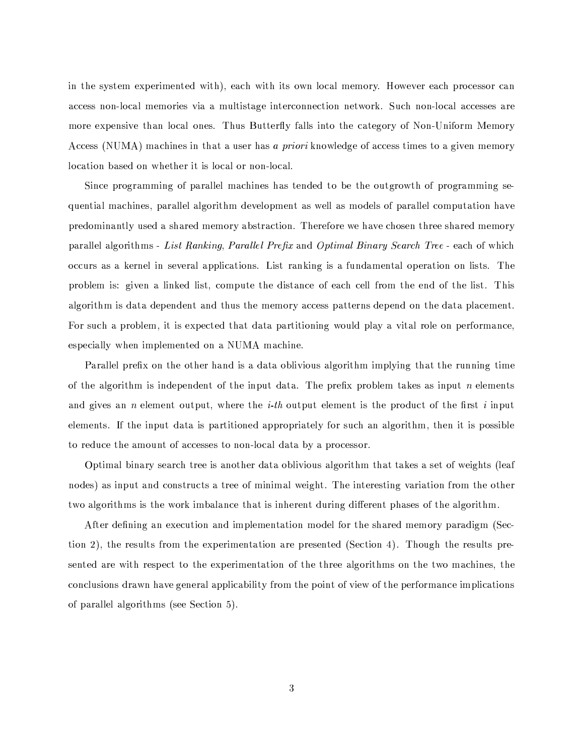in the system experimented with, each with its own local memory. However each processor can access non-local memories via a multistage interconnection network. Such non-local accesses are more expensive than local ones. Thus Butterfly falls into the category of Non-Uniform Memory Access (NUMA) machines in that a user has a priori knowledge of access times to a given memory location based on whether it is local or non-local.

Since programming of parallel machines has tended to be the outgrowth of programming sequential machines, parallel algorithm development as well as models of parallel computation have predominantly used a shared memory abstraction. Therefore we have chosen three shared memory parallel algorithms - List Ranking, Parallel Prefix and Optimal Binary Search Tree - each of which occurs as a kernel in several applications. List ranking is a fundamental operation on lists. The problem is: given a linked list, compute the distance of each cell from the end of the list. This algorithm is data dependent and thus the memory access patterns depend on the data placement. For such a problem, it is expected that data partitioning would play a vital role on performance. especially when implemented on a NUMA machine.

Parallel prefix on the other hand is a data oblivious algorithm implying that the running time of the algorithm is independent of the input data. The prefix problem takes as input n elements and gives an *n* element output, where the *i*-th output element is the product of the first i input elements. If the input data is partitioned appropriately for such an algorithm, then it is possible to reduce the amount of accesses to non-local data by a processor.

Optimal binary search tree is another data oblivious algorithm that takes a set of weights (leaf nodes) as input and constructs a tree of minimal weight. The interesting variation from the other two algorithms is the work imbalance that is inherent during different phases of the algorithm.

After defining an execution and implementation model for the shared memory paradigm (Section 2), the results from the experimentation are presented (Section 4). Though the results presented are with respect to the experimentation of the three algorithms on the two machines, the conclusions drawn have general applicability from the point of view of the performance implications of parallel algorithms (see Section 5).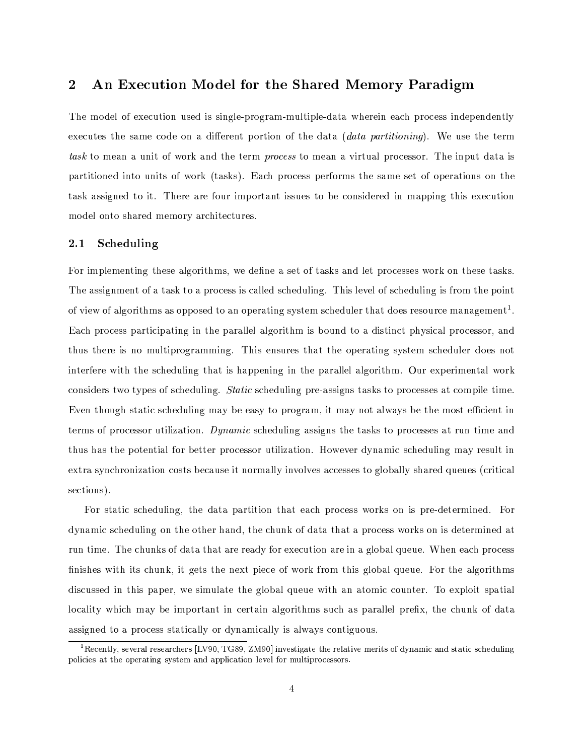## An Execution Model for the Shared Memory Paradigm  $\bf{2}$

The model of execution used is single-program-multiple-data wherein each process independently executes the same code on a different portion of the data *(data partitioning)*. We use the term task to mean a unit of work and the term process to mean a virtual processor. The input data is partitioned into units of work (tasks). Each process performs the same set of operations on the task assigned to it. There are four important issues to be considered in mapping this execution model onto shared memory architectures.

#### $2.1\,$ Scheduling

For implementing these algorithms, we define a set of tasks and let processes work on these tasks. The assignment of a task to a process is called scheduling. This level of scheduling is from the point of view of algorithms as opposed to an operating system scheduler that does resource management<sup>1</sup>. Each process participating in the parallel algorithm is bound to a distinct physical processor, and thus there is no multiprogramming. This ensures that the operating system scheduler does not interfere with the scheduling that is happening in the parallel algorithm. Our experimental work considers two types of scheduling. *Static* scheduling pre-assigns tasks to processes at compile time. Even though static scheduling may be easy to program, it may not always be the most efficient in terms of processor utilization. Dynamic scheduling assigns the tasks to processes at run time and thus has the potential for better processor utilization. However dynamic scheduling may result in extra synchronization costs because it normally involves accesses to globally shared queues (critical sections).

For static scheduling, the data partition that each process works on is pre-determined. For dynamic scheduling on the other hand, the chunk of data that a process works on is determined at run time. The chunks of data that are ready for execution are in a global queue. When each process finishes with its chunk, it gets the next piece of work from this global queue. For the algorithms discussed in this paper, we simulate the global queue with an atomic counter. To exploit spatial locality which may be important in certain algorithms such as parallel prefix, the chunk of data assigned to a process statically or dynamically is always contiguous.

 ${}^{1}$ Recently, several researchers [LV90, TG89, ZM90] investigate the relative merits of dynamic and static scheduling policies at the operating system and application level for multiprocessors.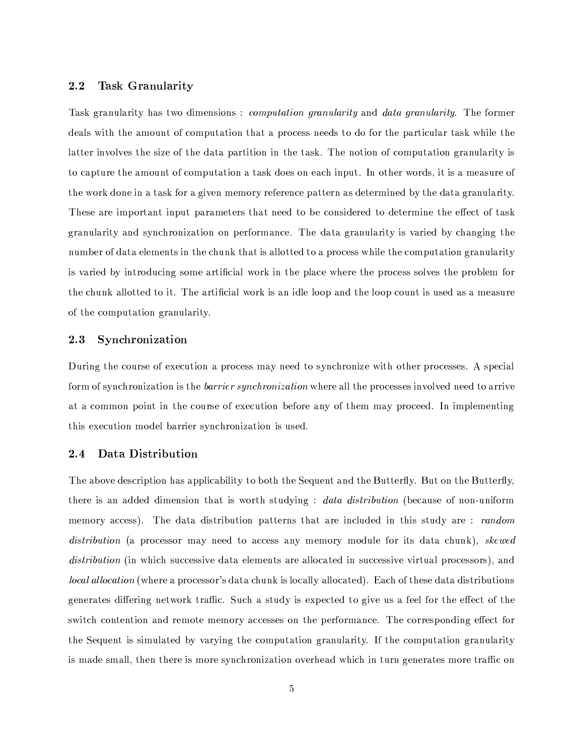#### $2.2$ Task Granularity

Task granularity has two dimensions: *computation granularity* and *data granularity*. The former deals with the amount of computation that a process needs to do for the particular task while the latter involves the size of the data partition in the task. The notion of computation granularity is to capture the amount of computation a task does on each input. In other words, it is a measure of the work done in a task for a given memory reference pattern as determined by the data granularity. These are important input parameters that need to be considered to determine the effect of task granularity and synchronization on performance. The data granularity is varied by changing the number of data elements in the chunk that is allotted to a process while the computation granularity is varied by introducing some artificial work in the place where the process solves the problem for the chunk allotted to it. The artificial work is an idle loop and the loop count is used as a measure of the computation granularity.

#### Synchronization  $2.3\,$

During the course of execution a process may need to synchronize with other processes. A special form of synchronization is the *barrier synchronization* where all the processes involved need to arrive at a common point in the course of execution before any of them may proceed. In implementing this execution model barrier synchronization is used.

#### $2.4$ Data Distribution

The above description has applicability to both the Sequent and the Butterfly. But on the Butterfly, there is an added dimension that is worth studying: *data distribution* (because of non-uniform memory access). The data distribution patterns that are included in this study are: random *distribution* (a processor may need to access any memory module for its data chunk), *skewed distribution* (in which successive data elements are allocated in successive virtual processors), and *local allocation* (where a processor's data chunk is locally allocated). Each of these data distributions generates differing network traffic. Such a study is expected to give us a feel for the effect of the switch contention and remote memory accesses on the performance. The corresponding effect for the Sequent is simulated by varying the computation granularity. If the computation granularity is made small, then there is more synchronization overhead which in turn generates more traffic on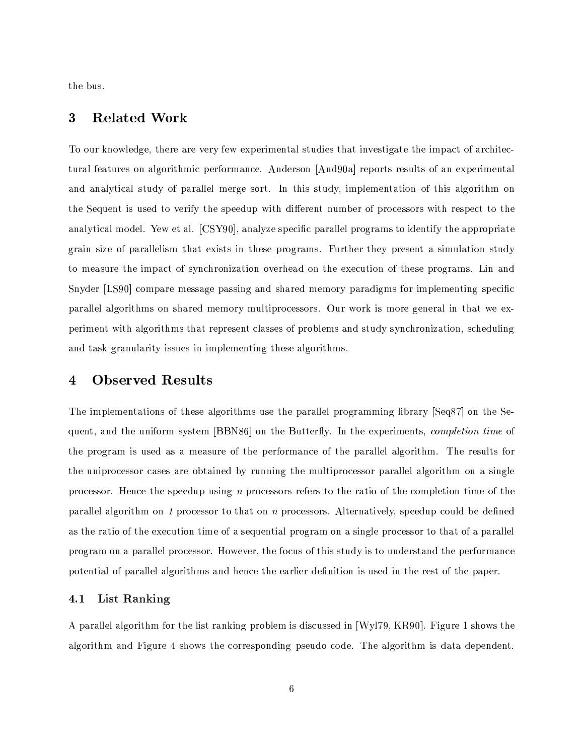the bus.

#### **Related Work** 3

To our knowledge, there are very few experimental studies that investigate the impact of architectural features on algorithmic performance. Anderson [And90a] reports results of an experimental and analytical study of parallel merge sort. In this study, implementation of this algorithm on the Sequent is used to verify the speedup with different number of processors with respect to the analytical model. Yew et al. [CSY90], analyze specific parallel programs to identify the appropriate grain size of parallelism that exists in these programs. Further they present a simulation study to measure the impact of synchronization overhead on the execution of these programs. Lin and Snyder [LS90] compare message passing and shared memory paradigms for implementing specific parallel algorithms on shared memory multiprocessors. Our work is more general in that we experiment with algorithms that represent classes of problems and study synchronization, scheduling and task granularity issues in implementing these algorithms.

## **Observed Results** 4

The implementations of these algorithms use the parallel programming library [Seq87] on the Sequent, and the uniform system [BBN86] on the Butterfly. In the experiments, *completion time* of the program is used as a measure of the performance of the parallel algorithm. The results for the uniprocessor cases are obtained by running the multiprocessor parallel algorithm on a single processor. Hence the speedup using  $n$  processors refers to the ratio of the completion time of the parallel algorithm on 1 processor to that on n processors. Alternatively, speedup could be defined as the ratio of the execution time of a sequential program on a single processor to that of a parallel program on a parallel processor. However, the focus of this study is to understand the performance potential of parallel algorithms and hence the earlier definition is used in the rest of the paper.

#### $4.1$ List Ranking

A parallel algorithm for the list ranking problem is discussed in [Wyl79, KR90]. Figure 1 shows the algorithm and Figure 4 shows the corresponding pseudo code. The algorithm is data dependent.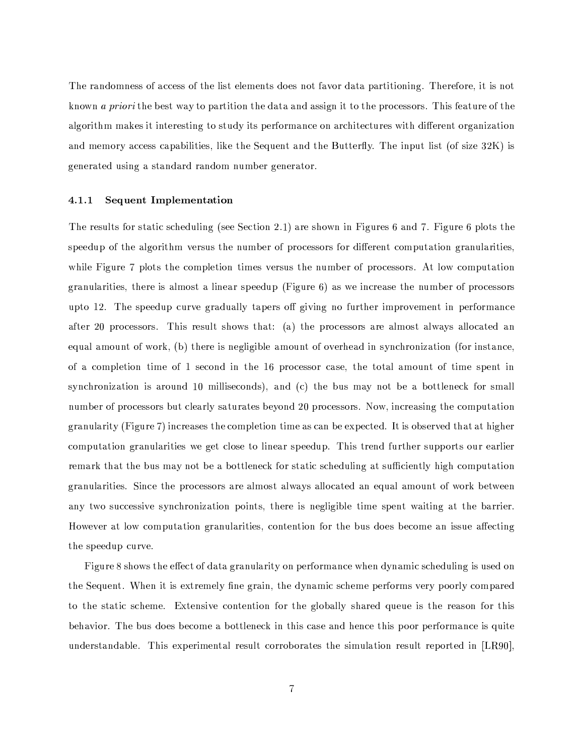The randomness of access of the list elements does not favor data partitioning. Therefore, it is not known a priori the best way to partition the data and assign it to the processors. This feature of the algorithm makes it interesting to study its performance on architectures with different organization and memory access capabilities, like the Sequent and the Butterfly. The input list (of size 32K) is generated using a standard random number generator.

#### **Sequent Implementation**  $4.1.1$

The results for static scheduling (see Section 2.1) are shown in Figures 6 and 7. Figure 6 plots the speedup of the algorithm versus the number of processors for different computation granularities, while Figure 7 plots the completion times versus the number of processors. At low computation granularities, there is almost a linear speedup (Figure  $6$ ) as we increase the number of processors upto 12. The speedup curve gradually tapers off giving no further improvement in performance after 20 processors. This result shows that: (a) the processors are almost always allocated an equal amount of work, (b) there is negligible amount of overhead in synchronization (for instance, of a completion time of 1 second in the 16 processor case, the total amount of time spent in synchronization is around 10 milliseconds), and (c) the bus may not be a bottleneck for small number of processors but clearly saturates beyond 20 processors. Now, increasing the computation granularity (Figure 7) increases the completion time as can be expected. It is observed that at higher computation granularities we get close to linear speedup. This trend further supports our earlier remark that the bus may not be a bottleneck for static scheduling at sufficiently high computation granularities. Since the processors are almost always allocated an equal amount of work between any two successive synchronization points, there is negligible time spent waiting at the barrier. However at low computation granularities, contention for the bus does become an issue affecting the speedup curve.

Figure 8 shows the effect of data granularity on performance when dynamic scheduling is used on the Sequent. When it is extremely fine grain, the dynamic scheme performs very poorly compared to the static scheme. Extensive contention for the globally shared queue is the reason for this behavior. The bus does become a bottleneck in this case and hence this poor performance is quite understandable. This experimental result corroborates the simulation result reported in [LR90],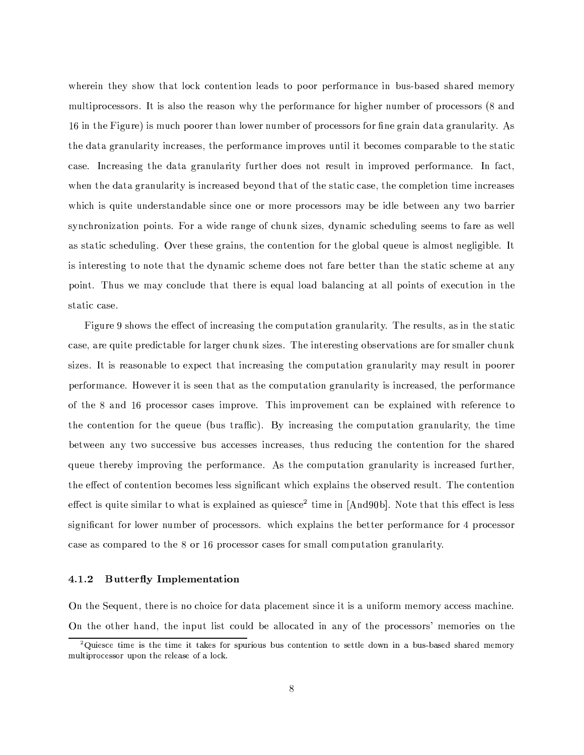wherein they show that lock contention leads to poor performance in bus-based shared memory multiprocessors. It is also the reason why the performance for higher number of processors (8 and 16 in the Figure) is much poorer than lower number of processors for fine grain data granularity. As the data granularity increases, the performance improves until it becomes comparable to the static case. Increasing the data granularity further does not result in improved performance. In fact. when the data granularity is increased beyond that of the static case, the completion time increases which is quite understandable since one or more processors may be idle between any two barrier synchronization points. For a wide range of chunk sizes, dynamic scheduling seems to fare as well as static scheduling. Over these grains, the contention for the global queue is almost negligible. It is interesting to note that the dynamic scheme does not fare better than the static scheme at any point. Thus we may conclude that there is equal load balancing at all points of execution in the static case.

Figure 9 shows the effect of increasing the computation granularity. The results, as in the static case, are quite predictable for larger chunk sizes. The interesting observations are for smaller chunk sizes. It is reasonable to expect that increasing the computation granularity may result in poorer performance. However it is seen that as the computation granularity is increased, the performance of the 8 and 16 processor cases improve. This improvement can be explained with reference to the contention for the queue (bus traffic). By increasing the computation granularity, the time between any two successive bus accesses increases, thus reducing the contention for the shared queue thereby improving the performance. As the computation granularity is increased further. the effect of contention becomes less significant which explains the observed result. The contention effect is quite similar to what is explained as quiesce<sup>2</sup> time in [And90b]. Note that this effect is less significant for lower number of processors, which explains the better performance for 4 processor case as compared to the 8 or 16 processor cases for small computation granularity.

#### **Butterfly Implementation**  $4.1.2$

On the Sequent, there is no choice for data placement since it is a uniform memory access machine. On the other hand, the input list could be allocated in any of the processors' memories on the

 ${}^{2}$ Quiesce time is the time it takes for spurious bus contention to settle down in a bus-based shared memory multiprocessor upon the release of a lock.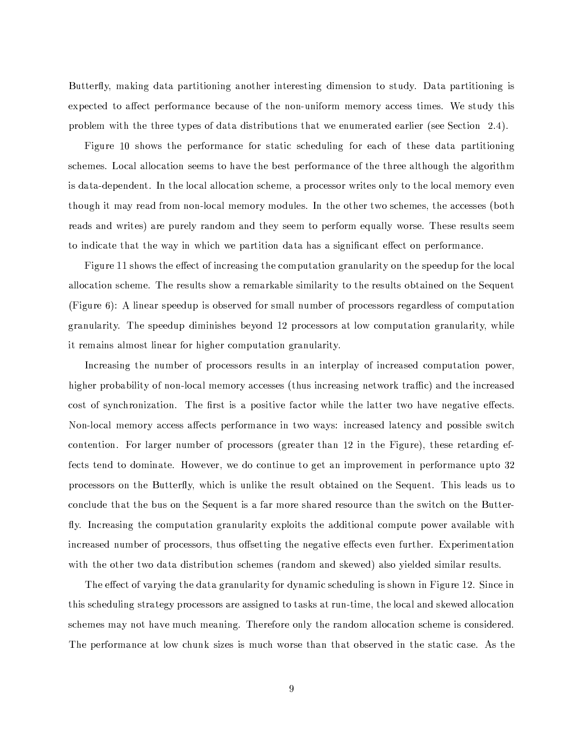Butterfly, making data partitioning another interesting dimension to study. Data partitioning is expected to affect performance because of the non-uniform memory access times. We study this problem with the three types of data distributions that we enumerated earlier (see Section 2.4).

Figure 10 shows the performance for static scheduling for each of these data partitioning schemes. Local allocation seems to have the best performance of the three although the algorithm is data-dependent. In the local allocation scheme, a processor writes only to the local memory even though it may read from non-local memory modules. In the other two schemes, the accesses (both reads and writes) are purely random and they seem to perform equally worse. These results seem to indicate that the way in which we partition data has a significant effect on performance.

Figure 11 shows the effect of increasing the computation granularity on the speedup for the local allocation scheme. The results show a remarkable similarity to the results obtained on the Sequent (Figure 6): A linear speedup is observed for small number of processors regardless of computation granularity. The speedup diminishes beyond 12 processors at low computation granularity, while it remains almost linear for higher computation granularity.

Increasing the number of processors results in an interplay of increased computation power, higher probability of non-local memory accesses (thus increasing network traffic) and the increased cost of synchronization. The first is a positive factor while the latter two have negative effects. Non-local memory access affects performance in two ways: increased latency and possible switch contention. For larger number of processors (greater than 12 in the Figure), these retarding effects tend to dominate. However, we do continue to get an improvement in performance upto 32 processors on the Butterfly, which is unlike the result obtained on the Sequent. This leads us to conclude that the bus on the Sequent is a far more shared resource than the switch on the Butterfly. Increasing the computation granularity exploits the additional compute power available with increased number of processors, thus offsetting the negative effects even further. Experimentation with the other two data distribution schemes (random and skewed) also yielded similar results.

The effect of varying the data granularity for dynamic scheduling is shown in Figure 12. Since in this scheduling strategy processors are assigned to tasks at run-time, the local and skewed allocation schemes may not have much meaning. Therefore only the random allocation scheme is considered. The performance at low chunk sizes is much worse than that observed in the static case. As the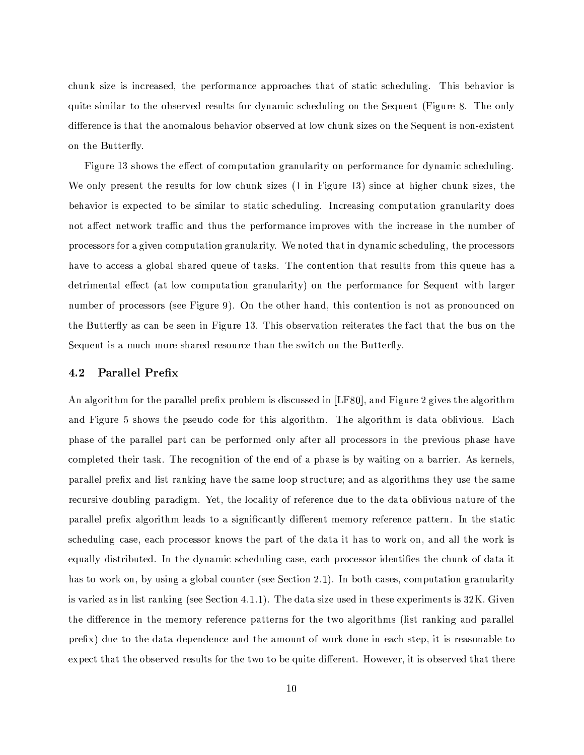chunk size is increased, the performance approaches that of static scheduling. This behavior is quite similar to the observed results for dynamic scheduling on the Sequent (Figure 8. The only difference is that the anomalous behavior observed at low chunk sizes on the Sequent is non-existent on the Butterfly.

Figure 13 shows the effect of computation granularity on performance for dynamic scheduling. We only present the results for low chunk sizes (1 in Figure 13) since at higher chunk sizes, the behavior is expected to be similar to static scheduling. Increasing computation granularity does not affect network traffic and thus the performance improves with the increase in the number of processors for a given computation granularity. We noted that in dynamic scheduling, the processors have to access a global shared queue of tasks. The contention that results from this queue has a detrimental effect (at low computation granularity) on the performance for Sequent with larger number of processors (see Figure 9). On the other hand, this contention is not as pronounced on the Butterfly as can be seen in Figure 13. This observation reiterates the fact that the bus on the Sequent is a much more shared resource than the switch on the Butterfly.

#### Parallel Prefix  $4.2$

An algorithm for the parallel prefix problem is discussed in [LF80], and Figure 2 gives the algorithm and Figure 5 shows the pseudo code for this algorithm. The algorithm is data oblivious. Each phase of the parallel part can be performed only after all processors in the previous phase have completed their task. The recognition of the end of a phase is by waiting on a barrier. As kernels, parallel prefix and list ranking have the same loop structure; and as algorithms they use the same recursive doubling paradigm. Yet, the locality of reference due to the data oblivious nature of the parallel prefix algorithm leads to a significantly different memory reference pattern. In the static scheduling case, each processor knows the part of the data it has to work on, and all the work is equally distributed. In the dynamic scheduling case, each processor identifies the chunk of data it has to work on, by using a global counter (see Section 2.1). In both cases, computation granularity is varied as in list ranking (see Section 4.1.1). The data size used in these experiments is  $32K$ . Given the difference in the memory reference patterns for the two algorithms (list ranking and parallel prefix) due to the data dependence and the amount of work done in each step, it is reasonable to expect that the observed results for the two to be quite different. However, it is observed that there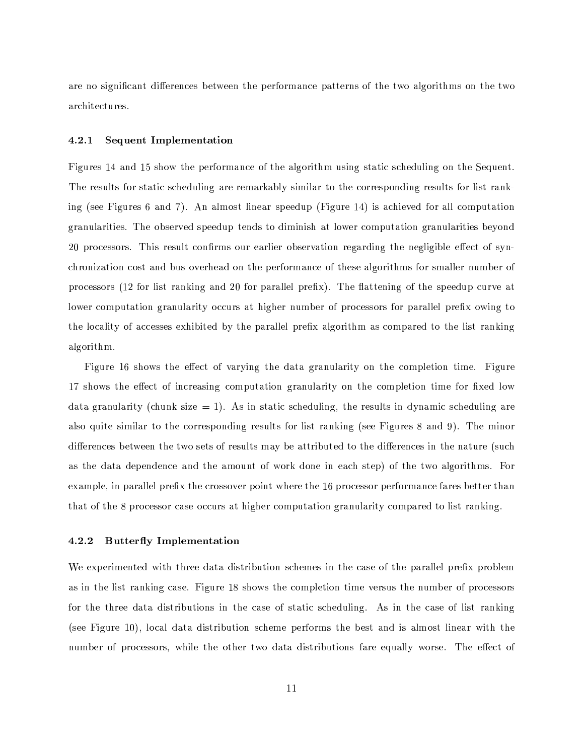are no significant differences between the performance patterns of the two algorithms on the two architectures.

#### 4.2.1 Sequent Implementation

Figures 14 and 15 show the performance of the algorithm using static scheduling on the Sequent. The results for static scheduling are remarkably similar to the corresponding results for list ranking (see Figures 6 and 7). An almost linear speedup (Figure 14) is achieved for all computation granularities. The observed speedup tends to diminish at lower computation granularities beyond 20 processors. This result confirms our earlier observation regarding the negligible effect of synchronization cost and bus overhead on the performance of these algorithms for smaller number of processors (12 for list ranking and 20 for parallel prefix). The flattening of the speedup curve at lower computation granularity occurs at higher number of processors for parallel prefix owing to the locality of accesses exhibited by the parallel prefix algorithm as compared to the list ranking algorithm.

Figure 16 shows the effect of varying the data granularity on the completion time. Figure 17 shows the effect of increasing computation granularity on the completion time for fixed low data granularity (chunk size  $= 1$ ). As in static scheduling, the results in dynamic scheduling are also quite similar to the corresponding results for list ranking (see Figures 8 and 9). The minor differences between the two sets of results may be attributed to the differences in the nature (such as the data dependence and the amount of work done in each step) of the two algorithms. For example, in parallel prefix the crossover point where the 16 processor performance fares better than that of the 8 processor case occurs at higher computation granularity compared to list ranking.

#### 4.2.2 **Butterfly Implementation**

We experimented with three data distribution schemes in the case of the parallel prefix problem as in the list ranking case. Figure 18 shows the completion time versus the number of processors for the three data distributions in the case of static scheduling. As in the case of list ranking (see Figure 10), local data distribution scheme performs the best and is almost linear with the number of processors, while the other two data distributions fare equally worse. The effect of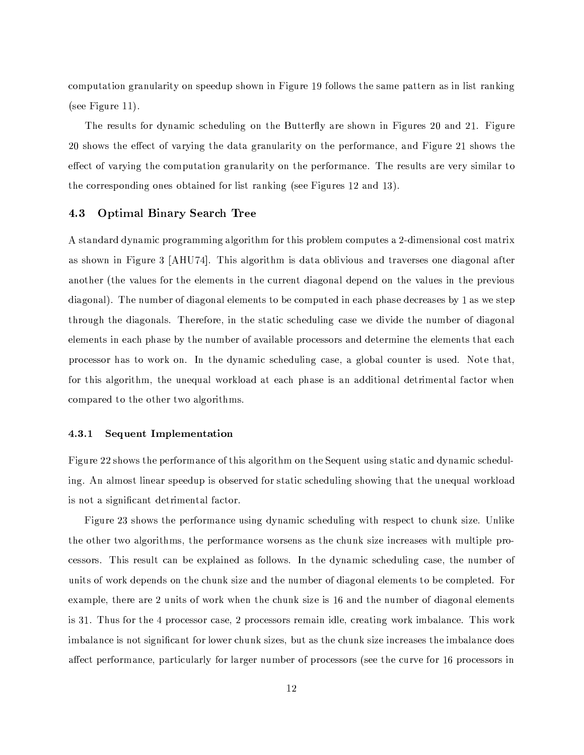computation granularity on speedup shown in Figure 19 follows the same pattern as in list ranking (see Figure 11).

The results for dynamic scheduling on the Butterfly are shown in Figures 20 and 21. Figure 20 shows the effect of varying the data granularity on the performance, and Figure 21 shows the effect of varying the computation granularity on the performance. The results are very similar to the corresponding ones obtained for list ranking (see Figures 12 and 13).

#### 4.3 **Optimal Binary Search Tree**

A standard dynamic programming algorithm for this problem computes a 2-dimensional cost matrix as shown in Figure 3 [AHU74]. This algorithm is data oblivious and traverses one diagonal after another (the values for the elements in the current diagonal depend on the values in the previous diagonal). The number of diagonal elements to be computed in each phase decreases by 1 as we step through the diagonals. Therefore, in the static scheduling case we divide the number of diagonal elements in each phase by the number of available processors and determine the elements that each processor has to work on. In the dynamic scheduling case, a global counter is used. Note that, for this algorithm, the unequal workload at each phase is an additional detrimental factor when compared to the other two algorithms.

#### 4.3.1 Sequent Implementation

Figure 22 shows the performance of this algorithm on the Sequent using static and dynamic scheduling. An almost linear speedup is observed for static scheduling showing that the unequal workload is not a significant detrimental factor.

Figure 23 shows the performance using dynamic scheduling with respect to chunk size. Unlike the other two algorithms, the performance worsens as the chunk size increases with multiple processors. This result can be explained as follows. In the dynamic scheduling case, the number of units of work depends on the chunk size and the number of diagonal elements to be completed. For example, there are 2 units of work when the chunk size is 16 and the number of diagonal elements is 31. Thus for the 4 processor case, 2 processors remain idle, creating work imbalance. This work imbalance is not significant for lower chunk sizes, but as the chunk size increases the imbalance does affect performance, particularly for larger number of processors (see the curve for 16 processors in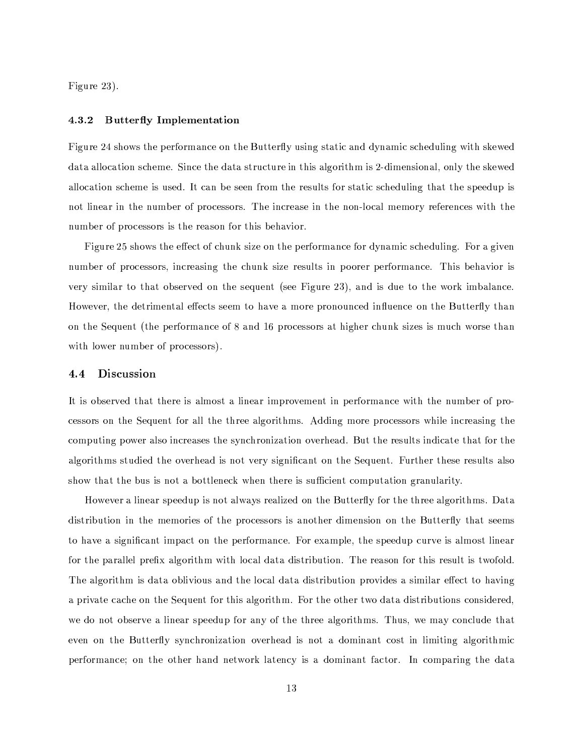Figure 23).

#### 4.3.2 **Butterfly Implementation**

Figure 24 shows the performance on the Butterfly using static and dynamic scheduling with skewed data allocation scheme. Since the data structure in this algorithm is 2-dimensional, only the skewed allocation scheme is used. It can be seen from the results for static scheduling that the speedup is not linear in the number of processors. The increase in the non-local memory references with the number of processors is the reason for this behavior.

Figure 25 shows the effect of chunk size on the performance for dynamic scheduling. For a given number of processors, increasing the chunk size results in poorer performance. This behavior is very similar to that observed on the sequent (see Figure 23), and is due to the work imbalance. However, the detrimental effects seem to have a more pronounced influence on the Butterfly than on the Sequent (the performance of 8 and 16 processors at higher chunk sizes is much worse than with lower number of processors).

#### Discussion  $4.4$

It is observed that there is almost a linear improvement in performance with the number of processors on the Sequent for all the three algorithms. Adding more processors while increasing the computing power also increases the synchronization overhead. But the results indicate that for the algorithms studied the overhead is not very significant on the Sequent. Further these results also show that the bus is not a bottleneck when there is sufficient computation granularity.

However a linear speedup is not always realized on the Butterfly for the three algorithms. Data distribution in the memories of the processors is another dimension on the Butterfly that seems to have a significant impact on the performance. For example, the speedup curve is almost linear for the parallel prefix algorithm with local data distribution. The reason for this result is twofold. The algorithm is data oblivious and the local data distribution provides a similar effect to having a private cache on the Sequent for this algorithm. For the other two data distributions considered, we do not observe a linear speedup for any of the three algorithms. Thus, we may conclude that even on the Butterfly synchronization overhead is not a dominant cost in limiting algorithmic performance; on the other hand network latency is a dominant factor. In comparing the data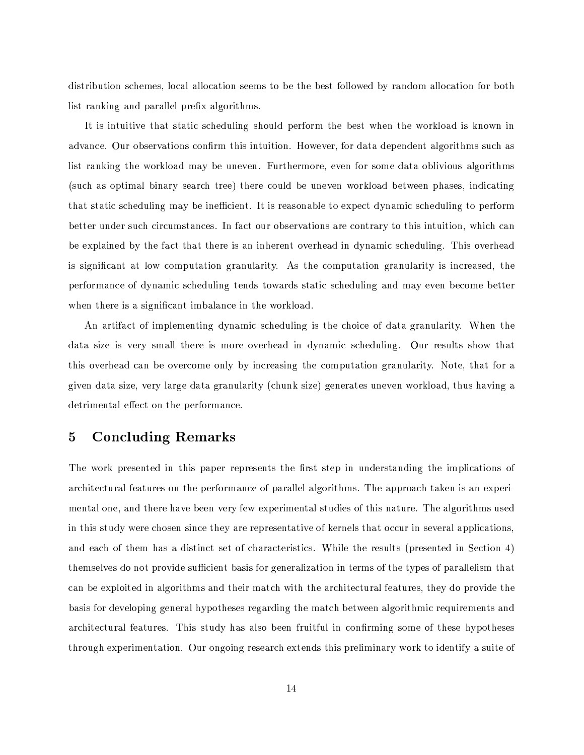distribution schemes, local allocation seems to be the best followed by random allocation for both list ranking and parallel prefix algorithms.

It is intuitive that static scheduling should perform the best when the workload is known in advance. Our observations confirm this intuition. However, for data dependent algorithms such as list ranking the workload may be uneven. Furthermore, even for some data oblivious algorithms (such as optimal binary search tree) there could be uneven workload between phases, indicating that static scheduling may be inefficient. It is reasonable to expect dynamic scheduling to perform better under such circumstances. In fact our observations are contrary to this intuition, which can be explained by the fact that there is an inherent overhead in dynamic scheduling. This overhead is significant at low computation granularity. As the computation granularity is increased, the performance of dynamic scheduling tends towards static scheduling and may even become better when there is a significant imbalance in the workload.

An artifact of implementing dynamic scheduling is the choice of data granularity. When the data size is very small there is more overhead in dynamic scheduling. Our results show that this overhead can be overcome only by increasing the computation granularity. Note, that for a given data size, very large data granularity (chunk size) generates uneven workload, thus having a detrimental effect on the performance.

## **Concluding Remarks** 5

The work presented in this paper represents the first step in understanding the implications of architectural features on the performance of parallel algorithms. The approach taken is an experimental one, and there have been very few experimental studies of this nature. The algorithms used in this study were chosen since they are representative of kernels that occur in several applications, and each of them has a distinct set of characteristics. While the results (presented in Section 4) themselves do not provide sufficient basis for generalization in terms of the types of parallelism that can be exploited in algorithms and their match with the architectural features, they do provide the basis for developing general hypotheses regarding the match between algorithmic requirements and architectural features. This study has also been fruitful in confirming some of these hypotheses through experimentation. Our ongoing research extends this preliminary work to identify a suite of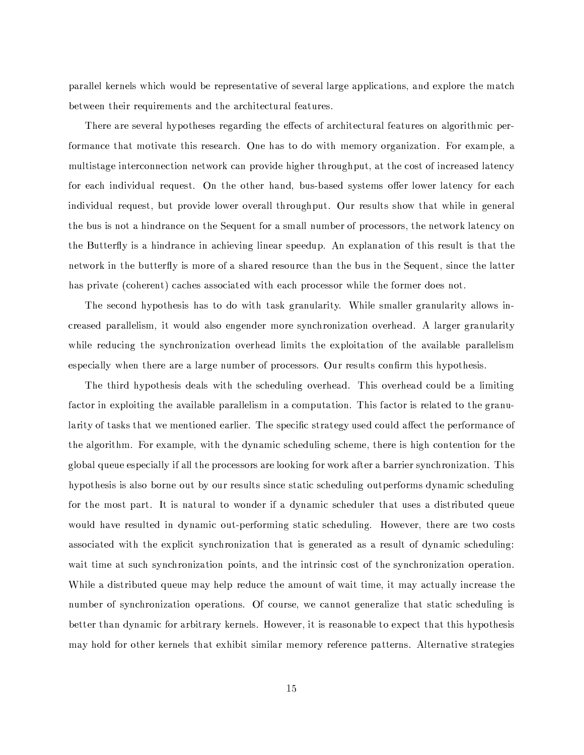parallel kernels which would be representative of several large applications, and explore the match between their requirements and the architectural features.

There are several hypotheses regarding the effects of architectural features on algorithmic performance that motivate this research. One has to do with memory organization. For example, a multistage interconnection network can provide higher throughput, at the cost of increased latency for each individual request. On the other hand, bus-based systems offer lower latency for each individual request, but provide lower overall throughput. Our results show that while in general the bus is not a hindrance on the Sequent for a small number of processors, the network latency on the Butterfly is a hindrance in achieving linear speedup. An explanation of this result is that the network in the butterfly is more of a shared resource than the bus in the Sequent, since the latter has private (coherent) caches associated with each processor while the former does not.

The second hypothesis has to do with task granularity. While smaller granularity allows increased parallelism, it would also engender more synchronization overhead. A larger granularity while reducing the synchronization overhead limits the exploitation of the available parallelism especially when there are a large number of processors. Our results confirm this hypothesis.

The third hypothesis deals with the scheduling overhead. This overhead could be a limiting factor in exploiting the available parallelism in a computation. This factor is related to the granularity of tasks that we mentioned earlier. The specific strategy used could affect the performance of the algorithm. For example, with the dynamic scheduling scheme, there is high contention for the global queue especially if all the processors are looking for work after a barrier synchronization. This hypothesis is also borne out by our results since static scheduling outperforms dynamic scheduling for the most part. It is natural to wonder if a dynamic scheduler that uses a distributed queue would have resulted in dynamic out-performing static scheduling. However, there are two costs associated with the explicit synchronization that is generated as a result of dynamic scheduling. wait time at such synchronization points, and the intrinsic cost of the synchronization operation. While a distributed queue may help reduce the amount of wait time, it may actually increase the number of synchronization operations. Of course, we cannot generalize that static scheduling is better than dynamic for arbitrary kernels. However, it is reasonable to expect that this hypothesis may hold for other kernels that exhibit similar memory reference patterns. Alternative strategies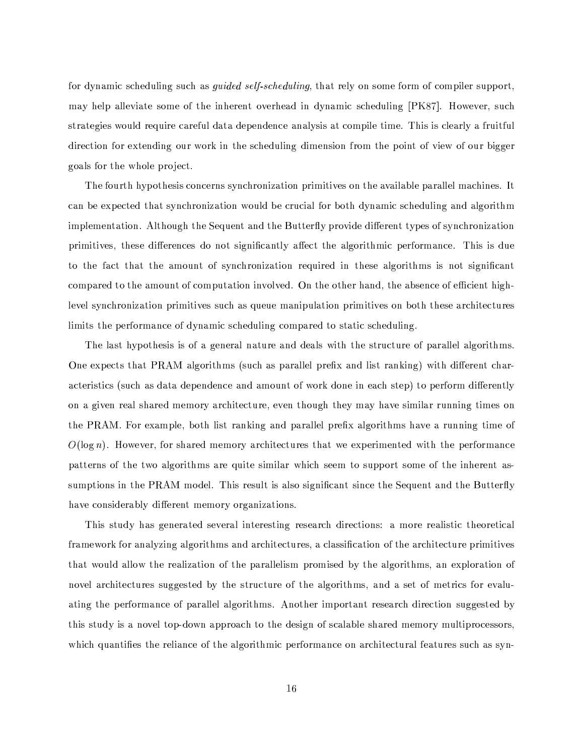for dynamic scheduling such as *guided self-scheduling*, that rely on some form of compiler support. may help alleviate some of the inherent overhead in dynamic scheduling [PK87]. However, such strategies would require careful data dependence analysis at compile time. This is clearly a fruitful direction for extending our work in the scheduling dimension from the point of view of our bigger goals for the whole project.

The fourth hypothesis concerns synchronization primitives on the available parallel machines. It can be expected that synchronization would be crucial for both dynamic scheduling and algorithm implementation. Although the Sequent and the Butterfly provide different types of synchronization primitives, these differences do not significantly affect the algorithmic performance. This is due to the fact that the amount of synchronization required in these algorithms is not significant compared to the amount of computation involved. On the other hand, the absence of efficient highlevel synchronization primitives such as queue manipulation primitives on both these architectures limits the performance of dynamic scheduling compared to static scheduling.

The last hypothesis is of a general nature and deals with the structure of parallel algorithms. One expects that PRAM algorithms (such as parallel prefix and list ranking) with different characteristics (such as data dependence and amount of work done in each step) to perform differently on a given real shared memory architecture, even though they may have similar running times on the PRAM. For example, both list ranking and parallel prefix algorithms have a running time of  $O(\log n)$ . However, for shared memory architectures that we experimented with the performance patterns of the two algorithms are quite similar which seem to support some of the inherent assumptions in the PRAM model. This result is also significant since the Sequent and the Butterfly have considerably different memory organizations.

This study has generated several interesting research directions: a more realistic theoretical framework for analyzing algorithms and architectures, a classification of the architecture primitives that would allow the realization of the parallelism promised by the algorithms, an exploration of novel architectures suggested by the structure of the algorithms, and a set of metrics for evaluating the performance of parallel algorithms. Another important research direction suggested by this study is a novel top-down approach to the design of scalable shared memory multiprocessors, which quantifies the reliance of the algorithmic performance on architectural features such as syn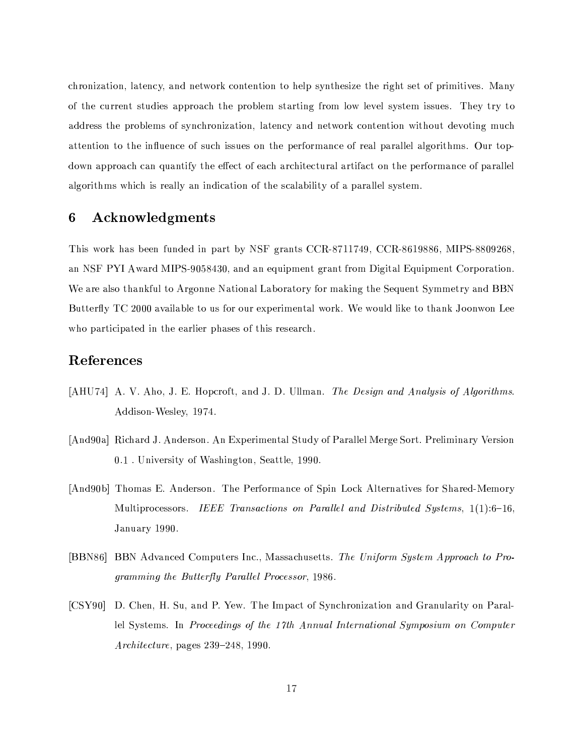chronization, latency, and network contention to help synthesize the right set of primitives. Many of the current studies approach the problem starting from low level system issues. They try to address the problems of synchronization, latency and network contention without devoting much attention to the influence of such issues on the performance of real parallel algorithms. Our topdown approach can quantify the effect of each architectural artifact on the performance of parallel algorithms which is really an indication of the scalability of a parallel system.

## Acknowledgments 6

This work has been funded in part by NSF grants CCR-8711749, CCR-8619886, MIPS-8809268, an NSF PYI Award MIPS-9058430, and an equipment grant from Digital Equipment Corporation. We are also thankful to Argonne National Laboratory for making the Sequent Symmetry and BBN Butterfly TC 2000 available to us for our experimental work. We would like to thank Joonwon Lee who participated in the earlier phases of this research.

## References

- [AHU74] A. V. Aho, J. E. Hopcroft, and J. D. Ullman. The Design and Analysis of Algorithms. Addison-Wesley, 1974.
- [And90a] Richard J. Anderson. An Experimental Study of Parallel Merge Sort. Preliminary Version 0.1. University of Washington, Seattle, 1990.
- [And90b] Thomas E. Anderson. The Performance of Spin Lock Alternatives for Shared-Memory Multiprocessors. IEEE Transactions on Parallel and Distributed Systems, 1(1):6-16, January 1990.
- [BBN86] BBN Advanced Computers Inc., Massachusetts. The Uniform System Approach to Programming the Butterfly Parallel Processor, 1986.
- [CSY90] D. Chen, H. Su, and P. Yew. The Impact of Synchronization and Granularity on Parallel Systems. In Proceedings of the 17th Annual International Symposium on Computer Architecture, pages  $239-248$ , 1990.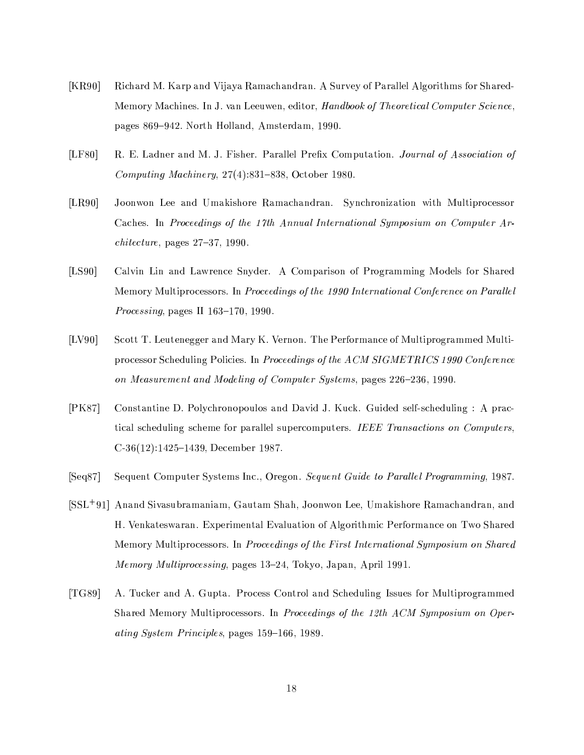- $[KR90]$ Richard M. Karp and Vijaya Ramachandran. A Survey of Parallel Algorithms for Shared-Memory Machines. In J. van Leeuwen, editor, Handbook of Theoretical Computer Science, pages 869-942. North Holland, Amsterdam, 1990.
- $[LF80]$ R. E. Ladner and M. J. Fisher. Parallel Prefix Computation. Journal of Association of Computing Machinery,  $27(4)$ :831-838, October 1980.
- $[LR90]$ Joonwon Lee and Umakishore Ramachandran. Synchronization with Multiprocessor Caches. In Proceedings of the 17th Annual International Symposium on Computer Ar*chitecture*, pages  $27-37$ , 1990.
- $[LS90]$ Calvin Lin and Lawrence Snyder. A Comparison of Programming Models for Shared Memory Multiprocessors. In Proceedings of the 1990 International Conference on Parallel *Processing*, pages II  $163-170$ , 1990.
- $[LV90]$ Scott T. Leutenegger and Mary K. Vernon. The Performance of Multiprogrammed Multiprocessor Scheduling Policies. In Proceedings of the ACM SIGMETRICS 1990 Conference on Measurement and Modeling of Computer Systems, pages 226–236, 1990.
- $[PK87]$ Constantine D. Polychronopoulos and David J. Kuck. Guided self-scheduling: A practical scheduling scheme for parallel supercomputers. IEEE Transactions on Computers,  $C-36(12):1425-1439$ , December 1987.
- Sequent Computer Systems Inc., Oregon. Sequent Guide to Parallel Programming, 1987.  $[Seq87]$
- [SSL<sup>+91</sup>] Anand Sivasubramaniam, Gautam Shah, Joonwon Lee, Umakishore Ramachandran, and H. Venkateswaran. Experimental Evaluation of Algorithmic Performance on Two Shared Memory Multiprocessors. In Proceedings of the First International Symposium on Shared Memory Multiprocessing, pages 13-24, Tokyo, Japan, April 1991.
- $[TG89]$ A. Tucker and A. Gupta. Process Control and Scheduling Issues for Multiprogrammed Shared Memory Multiprocessors. In Proceedings of the 12th ACM Symposium on Operating System Principles, pages 159-166, 1989.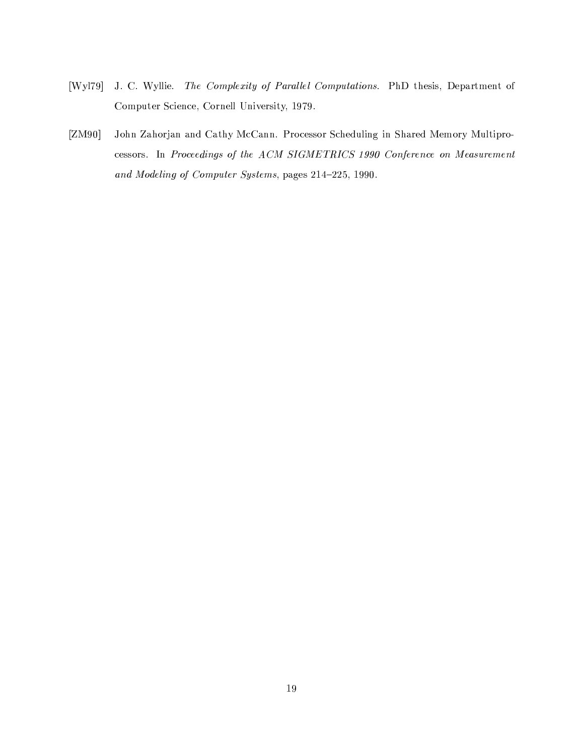- $[Wy]$ J. C. Wyllie. The Complexity of Parallel Computations. PhD thesis, Department of Computer Science, Cornell University, 1979.
- $[ZM90]$ John Zahorjan and Cathy McCann. Processor Scheduling in Shared Memory Multiprocessors. In Proceedings of the ACM SIGMETRICS 1990 Conference on Measurement and Modeling of Computer Systems, pages 214-225, 1990.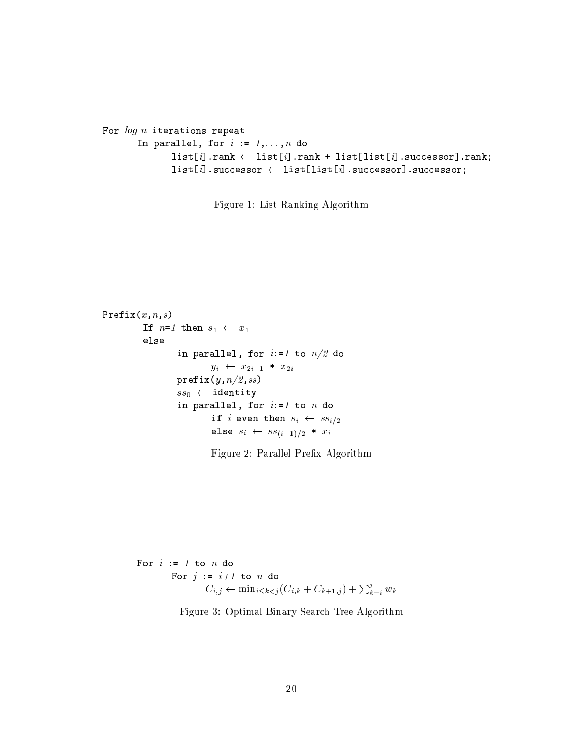```
For log n iterations repeat
    In parallel, for i := 1, ..., n do
            list[i] .rank \leftarrow list[i] .rank + list[i] .succ[i] .successor].rank;list[i].successor \leftarrow list[list[i].successor].successor;
```
Figure 1: List Ranking Algorithm

```
Prefix(x, n, s)If n=1 then s_1 \leftarrow x_1else
                in parallel, for i:=1 to n/2 do
                        y_i \leftarrow x_{2i-1} * x_{2i}prefix(y, n/2, ss)ss_0 \leftarrow identity
                in parallel, for i:=1 to n do
                        if i even then s_i \leftarrow ss_{i/2}else s_i \leftarrow ss_{(i-1)/2} * x_i
```
Figure 2: Parallel Prefix Algorithm

```
For i := 1 to n do
       For j := i+1 to n do
                 C_{i,j} \leftarrow \min_{i \leq k \leq j} (C_{i,k} + C_{k+1,j}) + \sum_{k=i}^{j} w_k
```
Figure 3: Optimal Binary Search Tree Algorithm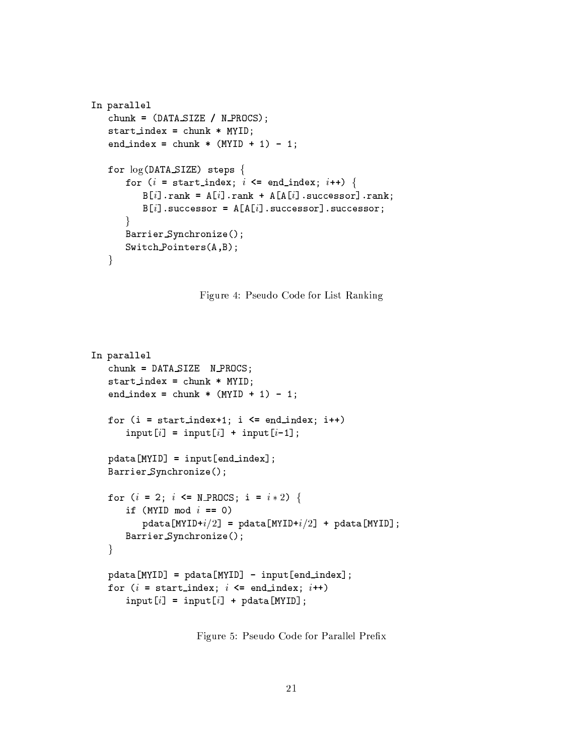```
In parallel
chunk = (DATA\_SIZE / N\_PROCS);start_index = chunk * MYID;end_index = chunk * (MYID + 1) - 1;
for log(DATA_SIZE) steps {
   for (i = start_index; i \leq end_index; i++) {
       B[i].rank = A[i].rank + A[A[i].successor].rank;
       B[i].successor = A[A[i].successor].successor;
   \mathcal{F}Barrier_Synchronize();
   Switch\_{Points}(A,B);\mathcal{F}
```
Figure 4: Pseudo Code for List Ranking

```
In parallel
chunk = DATA_SIZE N_PROCS;
start_index = chunk * MYID;end_index = chunk * (MYID + 1) - 1;
for (i = start_index + 1; i \leq end_index; i++)input[i] = input[i] + input[i-1];pdata[MYID] = input[end_index];Barrier_Synchronize();
for (i = 2; i \le M_PROCS; i = i * 2) {
   if (MYID mod i == 0)
      pdata[MYID+i/2] = pdata[MYID+i/2] + pdata[MYID];Barrier_Synchronize();
\mathcal{F}pdata[MYID] = pdata[MYID] - input[end_index];for (i = start_index; i \leq end_index; i++)input[i] = input[i] + pdata[MYID];
```
Figure 5: Pseudo Code for Parallel Prefix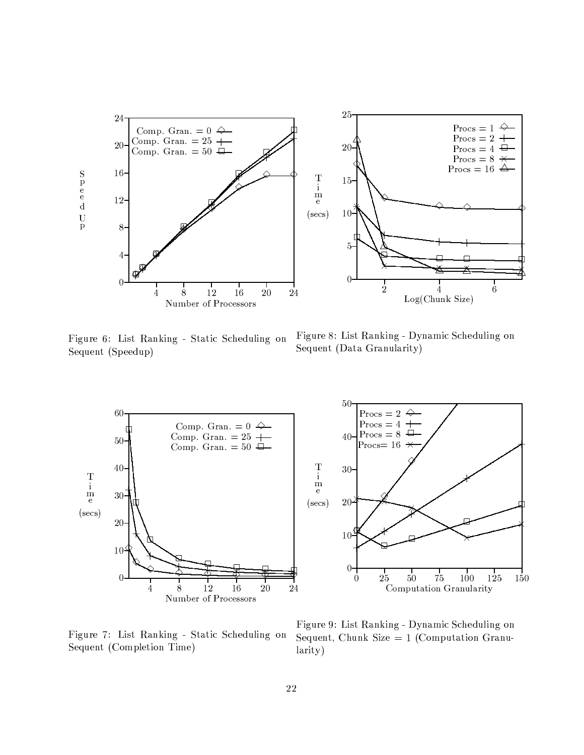

Figure 6: List Ranking - Static Scheduling on Sequent (Speedup)

Figure 8: List Ranking - Dynamic Scheduling on Sequent (Data Granularity)



Figure 7: List Ranking - Static Scheduling on Sequent (Completion Time)

Figure 9: List Ranking - Dynamic Scheduling on Sequent, Chunk Size  $= 1$  (Computation Granularity)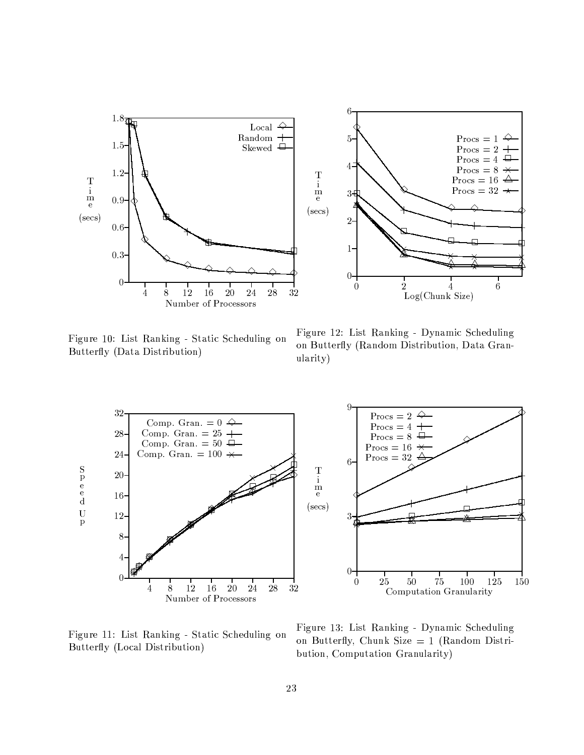

Figure 10: List Ranking - Static Scheduling on Butterfly (Data Distribution)

Figure 12: List Ranking - Dynamic Scheduling on Butterfly (Random Distribution, Data Granularity)



Figure 11: List Ranking - Static Scheduling on Butterfly (Local Distribution)

Figure 13: List Ranking - Dynamic Scheduling on Butterfly, Chunk Size =  $1$  (Random Distribution, Computation Granularity)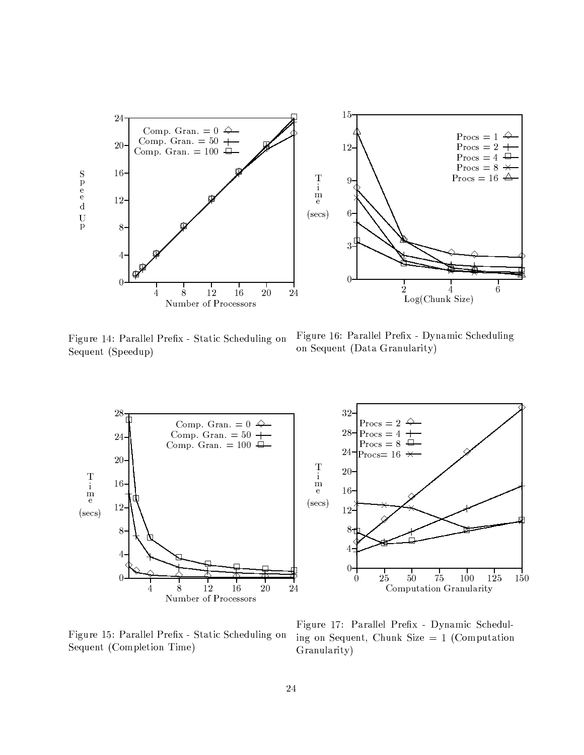

Figure 14: Parallel Prefix - Static Scheduling on Sequent (Speedup)

Figure 16: Parallel Prefix - Dynamic Scheduling on Sequent (Data Granularity)



Figure 15: Parallel Prefix - Static Scheduling on Sequent (Completion Time)

Figure 17: Parallel Prefix - Dynamic Scheduling on Sequent, Chunk Size  $= 1$  (Computation Granularity)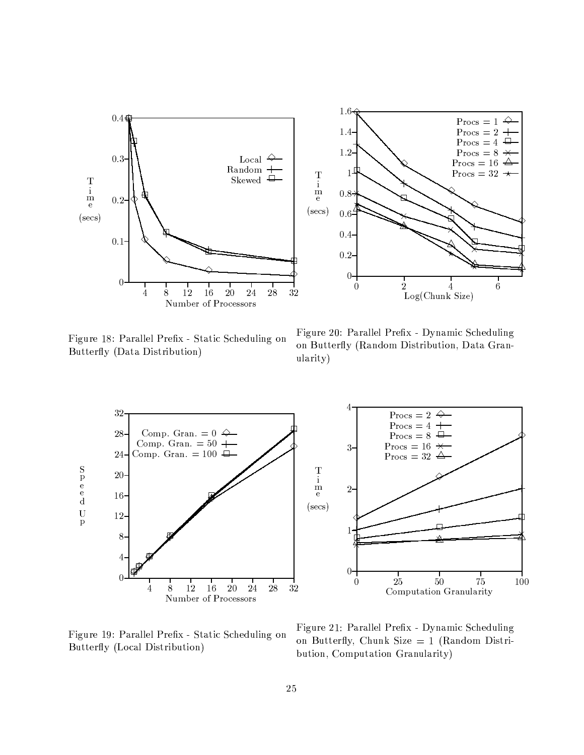

Figure 18: Parallel Prefix - Static Scheduling on Butterfly (Data Distribution)

Figure 20: Parallel Prefix - Dynamic Scheduling on Butterfly (Random Distribution, Data Granularity)

 $\,6\,$ 



Figure 19: Parallel Prefix - Static Scheduling on Butterfly (Local Distribution)

Figure 21: Parallel Prefix - Dynamic Scheduling on Butterfly, Chunk Size =  $1$  (Random Distribution, Computation Granularity)